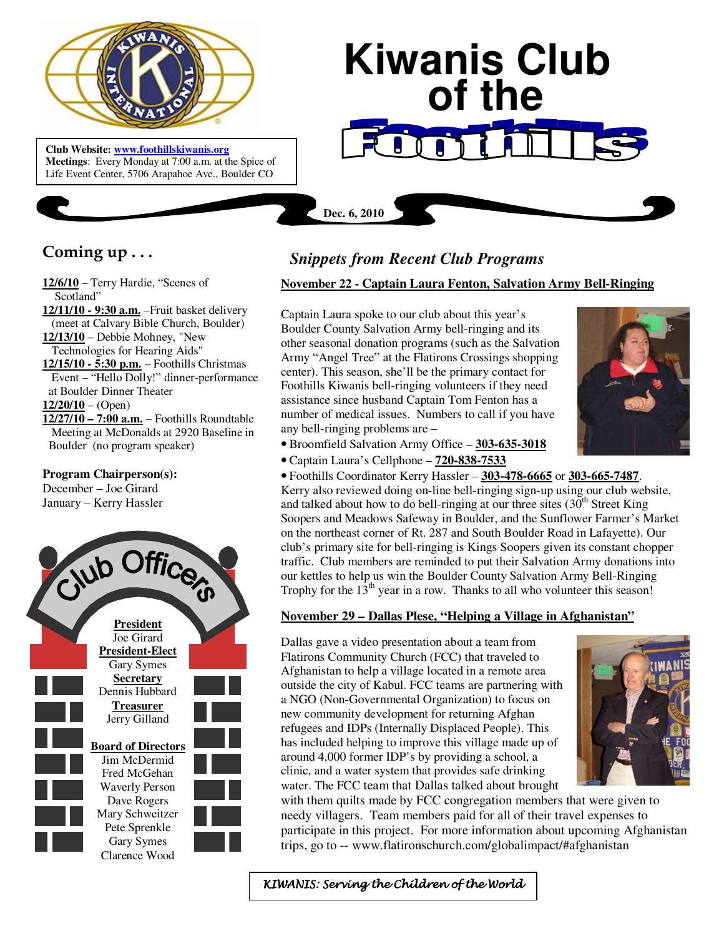

**Club Website: www.foothillskiwanis.org Meetings**: Every Monday at 7:00 a.m. at the Spice of Life Event Center, 5706 Arapahoe Ave., Boulder CO

# **Kiwanis Club of the**

**Coming up . . .** 

**12/6/10** – Terry Hardie, "Scenes of Scotland"

**12/11/10 - 9:30 a.m.** –Fruit basket delivery (meet at Calvary Bible Church, Boulder) **12/13/10** – Debbie Mohney, "New

Technologies for Hearing Aids"

**12/15/10 - 5:30 p.m.** – Foothills Christmas Event – "Hello Dolly!" dinner-performance at Boulder Dinner Theater **12/20/10** – (Open)

**12/27/10 – 7:00 a.m.** – Foothills Roundtable Meeting at McDonalds at 2920 Baseline in Boulder (no program speaker)

## **Program Chairperson(s):**

December – Joe Girard January – Kerry Hassler



# *Snippets from Recent Club Programs*

**Dec. 6, 2010**

### **November 22 - Captain Laura Fenton, Salvation Army Bell-Ringing**

Captain Laura spoke to our club about this year's Boulder County Salvation Army bell-ringing and its other seasonal donation programs (such as the Salvation Army "Angel Tree" at the Flatirons Crossings shopping center). This season, she'll be the primary contact for Foothills Kiwanis bell-ringing volunteers if they need assistance since husband Captain Tom Fenton has a number of medical issues. Numbers to call if you have any bell-ringing problems are –



- Broomfield Salvation Army Office **303-635-3018**
- Captain Laura's Cellphone **720-838-7533**

• Foothills Coordinator Kerry Hassler – **303-478-6665** or **303-665-7487**. Kerry also reviewed doing on-line bell-ringing sign-up using our club website, and talked about how to do bell-ringing at our three sites  $(30<sup>th</sup>$  Street King Soopers and Meadows Safeway in Boulder, and the Sunflower Farmer's Market on the northeast corner of Rt. 287 and South Boulder Road in Lafayette). Our club's primary site for bell-ringing is Kings Soopers given its constant chopper traffic. Club members are reminded to put their Salvation Army donations into our kettles to help us win the Boulder County Salvation Army Bell-Ringing Trophy for the  $13<sup>th</sup>$  year in a row. Thanks to all who volunteer this season!

#### **November 29 – Dallas Plese, "Helping a Village in Afghanistan"**

Dallas gave a video presentation about a team from Flatirons Community Church (FCC) that traveled to Afghanistan to help a village located in a remote area outside the city of Kabul. FCC teams are partnering with a NGO (Non-Governmental Organization) to focus on new community development for returning Afghan refugees and IDPs (Internally Displaced People). This has included helping to improve this village made up of around 4,000 former IDP's by providing a school, a clinic, and a water system that provides safe drinking water. The FCC team that Dallas talked about brought



with them quilts made by FCC congregation members that were given to needy villagers. Team members paid for all of their travel expenses to participate in this project. For more information about upcoming Afghanistan trips, go to -- www.flatironschurch.com/globalimpact/#afghanistan

KIWANIS: Serving the Children of the World